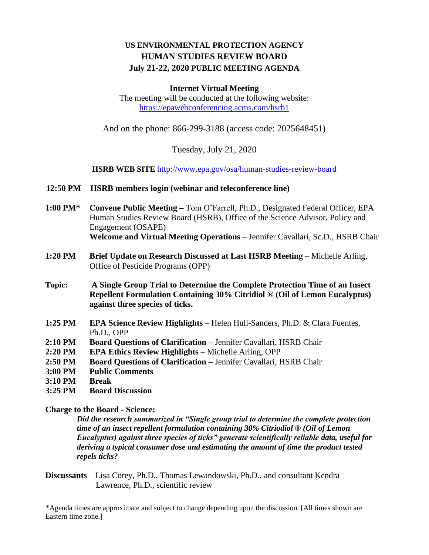# **US ENVIRONMENTAL PROTECTION AGENCY HUMAN STUDIES REVIEW BOARD July 21-22, 2020 PUBLIC MEETING AGENDA**

## **Internet Virtual Meeting**

The meeting will be conducted at the following website: <https://epawebconferencing.acms.com/hsrb1>

And on the phone: 866-299-3188 (access code: 2025648451)

Tuesday, July 21, 2020

**HSRB WEB SITE** <http://www.epa.gov/osa/human-studies-review-board>

#### **12:50 PM HSRB members login (webinar and teleconference line)**

- **1:00 PM\* Convene Public Meeting –** Tom O'Farrell, Ph.D., Designated Federal Officer, EPA Human Studies Review Board (HSRB), Office of the Science Advisor, Policy and Engagement (OSAPE) **Welcome and Virtual Meeting Operations** – Jennifer Cavallari, Sc.D., HSRB Chair
- **1:20 PM Brief Update on Research Discussed at Last HSRB Meeting** Michelle Arling, Office of Pesticide Programs (OPP)
- **Topic: A Single Group Trial to Determine the Complete Protection Time of an Insect Repellent Formulation Containing 30% Citridiol ® (Oil of Lemon Eucalyptus) against three species of ticks.**
- **1:25 PM EPA Science Review Highlights** Helen Hull-Sanders, Ph.D. & Clara Fuentes, Ph.D., OPP
- **2:10 PM Board Questions of Clarification –** Jennifer Cavallari, HSRB Chair
- **2:20 PM EPA Ethics Review Highlights** Michelle Arling, OPP
- **2:50 PM Board Questions of Clarification –** Jennifer Cavallari, HSRB Chair
- **3:00 PM Public Comments**
- **3:10 PM Break**

## **3:25 PM Board Discussion**

## **Charge to the Board - Science:**

*Did the research summarized in "Single group trial to determine the complete protection time of an insect repellent formulation containing 30% Citriodiol ® (Oil of Lemon Eucalyptus) against three species of ticks" generate scientifically reliable data, useful for deriving a typical consumer dose and estimating the amount of time the product tested repels ticks?*

**Discussants** – Lisa Corey, Ph.D., Thomas Lewandowski, Ph.D., and consultant Kendra Lawrence, Ph.D., scientific review

\*Agenda times are approximate and subject to change depending upon the discussion. [All times shown are Eastern time zone.]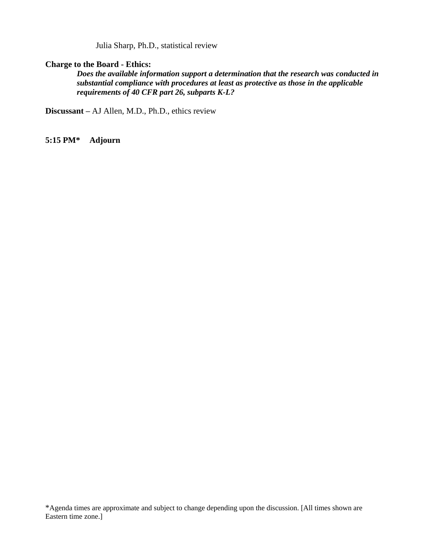Julia Sharp, Ph.D., statistical review

## **Charge to the Board - Ethics:**

*Does the available information support a determination that the research was conducted in substantial compliance with procedures at least as protective as those in the applicable requirements of 40 CFR part 26, subparts K-L?*

**Discussant –** AJ Allen, M.D., Ph.D., ethics review

**5:15 PM\* Adjourn**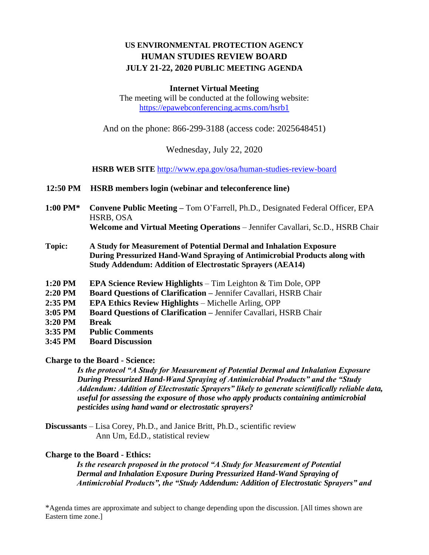# **US ENVIRONMENTAL PROTECTION AGENCY HUMAN STUDIES REVIEW BOARD JULY 21-22, 2020 PUBLIC MEETING AGENDA**

#### **Internet Virtual Meeting**

The meeting will be conducted at the following website: <https://epawebconferencing.acms.com/hsrb1>

And on the phone: 866-299-3188 (access code: 2025648451)

Wednesday, July 22, 2020

**HSRB WEB SITE** <http://www.epa.gov/osa/human-studies-review-board>

- **12:50 PM HSRB members login (webinar and teleconference line)**
- **1:00 PM\* Convene Public Meeting –** Tom O'Farrell, Ph.D., Designated Federal Officer, EPA HSRB, OSA **Welcome and Virtual Meeting Operations** – Jennifer Cavallari, Sc.D., HSRB Chair
- **Topic: A Study for Measurement of Potential Dermal and Inhalation Exposure During Pressurized Hand-Wand Spraying of Antimicrobial Products along with Study Addendum: Addition of Electrostatic Sprayers (AEA14)**
- **1:20 PM EPA Science Review Highlights** Tim Leighton & Tim Dole, OPP
- **2:20 PM Board Questions of Clarification –** Jennifer Cavallari, HSRB Chair
- **2:35 PM EPA Ethics Review Highlights**  Michelle Arling, OPP
- **3:05 PM Board Questions of Clarification –** Jennifer Cavallari, HSRB Chair
- **3:20 PM Break**
- **3:35 PM Public Comments**
- **3:45 PM Board Discussion**

## **Charge to the Board - Science:**

*Is the protocol "A Study for Measurement of Potential Dermal and Inhalation Exposure During Pressurized Hand-Wand Spraying of Antimicrobial Products" and the "Study Addendum: Addition of Electrostatic Sprayers" likely to generate scientifically reliable data, useful for assessing the exposure of those who apply products containing antimicrobial pesticides using hand wand or electrostatic sprayers?* 

**Discussants** – Lisa Corey, Ph.D., and Janice Britt, Ph.D., scientific review Ann Um, Ed.D., statistical review

## **Charge to the Board - Ethics:**

*Is the research proposed in the protocol "A Study for Measurement of Potential Dermal and Inhalation Exposure During Pressurized Hand-Wand Spraying of Antimicrobial Products", the "Study Addendum: Addition of Electrostatic Sprayers" and* 

\*Agenda times are approximate and subject to change depending upon the discussion. [All times shown are Eastern time zone.]